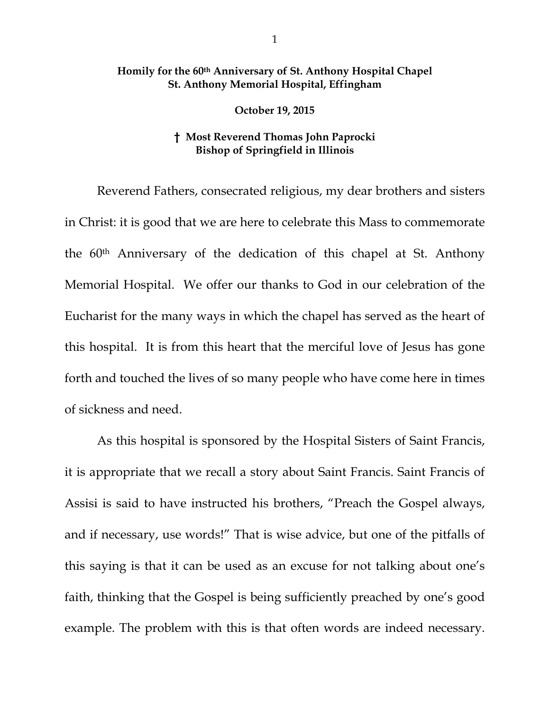## **Homily for the 60th Anniversary of St. Anthony Hospital Chapel St. Anthony Memorial Hospital, Effingham**

## **October 19, 2015**

## **† Most Reverend Thomas John Paprocki Bishop of Springfield in Illinois**

Reverend Fathers, consecrated religious, my dear brothers and sisters in Christ: it is good that we are here to celebrate this Mass to commemorate the 60th Anniversary of the dedication of this chapel at St. Anthony Memorial Hospital. We offer our thanks to God in our celebration of the Eucharist for the many ways in which the chapel has served as the heart of this hospital. It is from this heart that the merciful love of Jesus has gone forth and touched the lives of so many people who have come here in times of sickness and need.

As this hospital is sponsored by the Hospital Sisters of Saint Francis, it is appropriate that we recall a story about Saint Francis. Saint Francis of Assisi is said to have instructed his brothers, "Preach the Gospel always, and if necessary, use words!" That is wise advice, but one of the pitfalls of this saying is that it can be used as an excuse for not talking about one's faith, thinking that the Gospel is being sufficiently preached by one's good example. The problem with this is that often words are indeed necessary.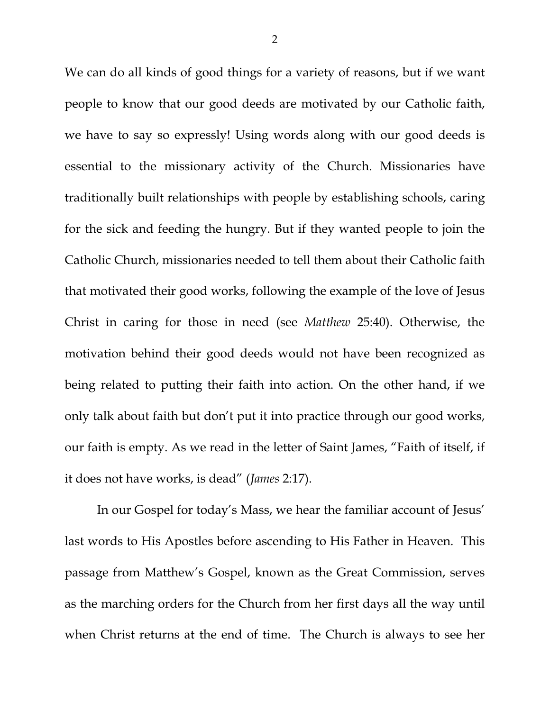We can do all kinds of good things for a variety of reasons, but if we want people to know that our good deeds are motivated by our Catholic faith, we have to say so expressly! Using words along with our good deeds is essential to the missionary activity of the Church. Missionaries have traditionally built relationships with people by establishing schools, caring for the sick and feeding the hungry. But if they wanted people to join the Catholic Church, missionaries needed to tell them about their Catholic faith that motivated their good works, following the example of the love of Jesus Christ in caring for those in need (see *Matthew* 25:40). Otherwise, the motivation behind their good deeds would not have been recognized as being related to putting their faith into action. On the other hand, if we only talk about faith but don't put it into practice through our good works, our faith is empty. As we read in the letter of Saint James, "Faith of itself, if it does not have works, is dead" (*James* 2:17).

In our Gospel for today's Mass, we hear the familiar account of Jesus' last words to His Apostles before ascending to His Father in Heaven. This passage from Matthew's Gospel, known as the Great Commission, serves as the marching orders for the Church from her first days all the way until when Christ returns at the end of time. The Church is always to see her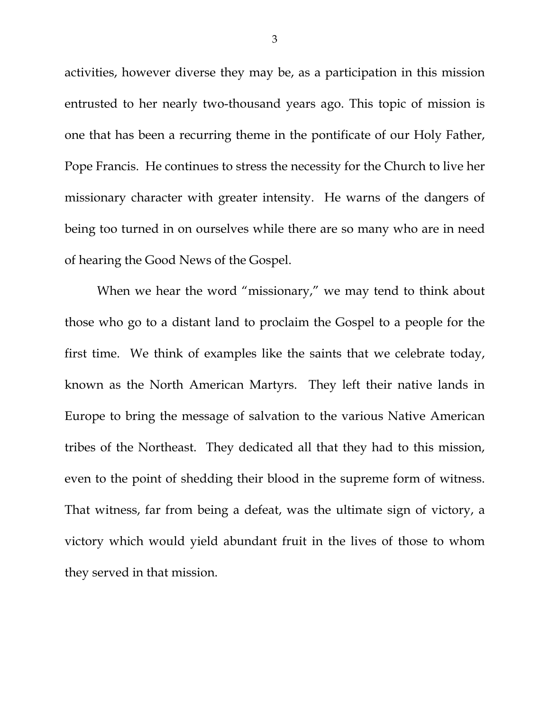activities, however diverse they may be, as a participation in this mission entrusted to her nearly two-thousand years ago. This topic of mission is one that has been a recurring theme in the pontificate of our Holy Father, Pope Francis. He continues to stress the necessity for the Church to live her missionary character with greater intensity. He warns of the dangers of being too turned in on ourselves while there are so many who are in need of hearing the Good News of the Gospel.

When we hear the word "missionary," we may tend to think about those who go to a distant land to proclaim the Gospel to a people for the first time. We think of examples like the saints that we celebrate today, known as the North American Martyrs. They left their native lands in Europe to bring the message of salvation to the various Native American tribes of the Northeast. They dedicated all that they had to this mission, even to the point of shedding their blood in the supreme form of witness. That witness, far from being a defeat, was the ultimate sign of victory, a victory which would yield abundant fruit in the lives of those to whom they served in that mission.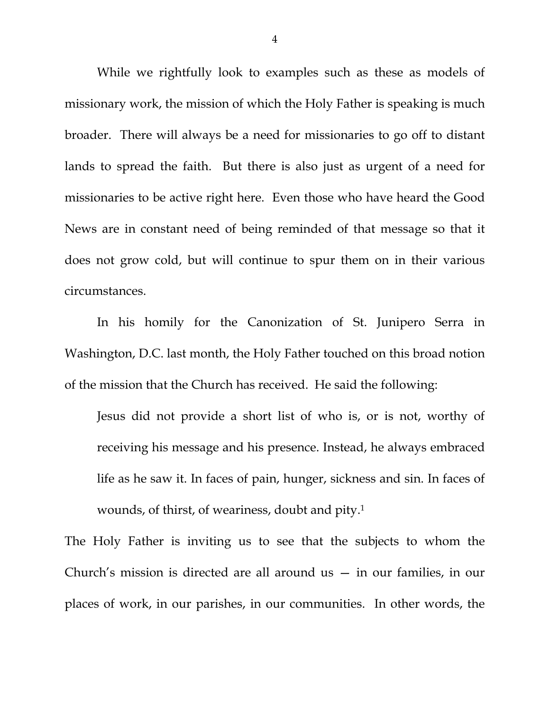While we rightfully look to examples such as these as models of missionary work, the mission of which the Holy Father is speaking is much broader. There will always be a need for missionaries to go off to distant lands to spread the faith. But there is also just as urgent of a need for missionaries to be active right here. Even those who have heard the Good News are in constant need of being reminded of that message so that it does not grow cold, but will continue to spur them on in their various circumstances.

In his homily for the Canonization of St. Junipero Serra in Washington, D.C. last month, the Holy Father touched on this broad notion of the mission that the Church has received. He said the following:

Jesus did not provide a short list of who is, or is not, worthy of receiving his message and his presence. Instead, he always embraced life as he saw it. In faces of pain, hunger, sickness and sin. In faces of wounds, of thirst, of weariness, doubt and pity.1

The Holy Father is inviting us to see that the subjects to whom the Church's mission is directed are all around us — in our families, in our places of work, in our parishes, in our communities. In other words, the

4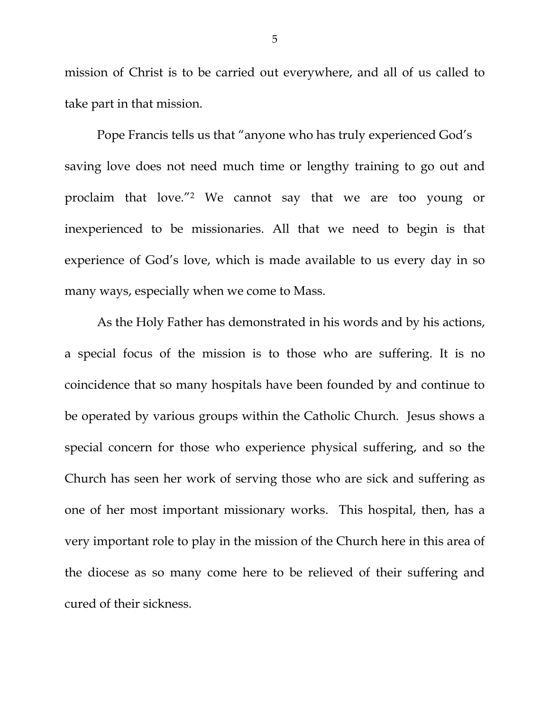mission of Christ is to be carried out everywhere, and all of us called to take part in that mission.

 Pope Francis tells us that "anyone who has truly experienced God's saving love does not need much time or lengthy training to go out and proclaim that love."2 We cannot say that we are too young or inexperienced to be missionaries. All that we need to begin is that experience of God's love, which is made available to us every day in so many ways, especially when we come to Mass.

 As the Holy Father has demonstrated in his words and by his actions, a special focus of the mission is to those who are suffering. It is no coincidence that so many hospitals have been founded by and continue to be operated by various groups within the Catholic Church. Jesus shows a special concern for those who experience physical suffering, and so the Church has seen her work of serving those who are sick and suffering as one of her most important missionary works. This hospital, then, has a very important role to play in the mission of the Church here in this area of the diocese as so many come here to be relieved of their suffering and cured of their sickness.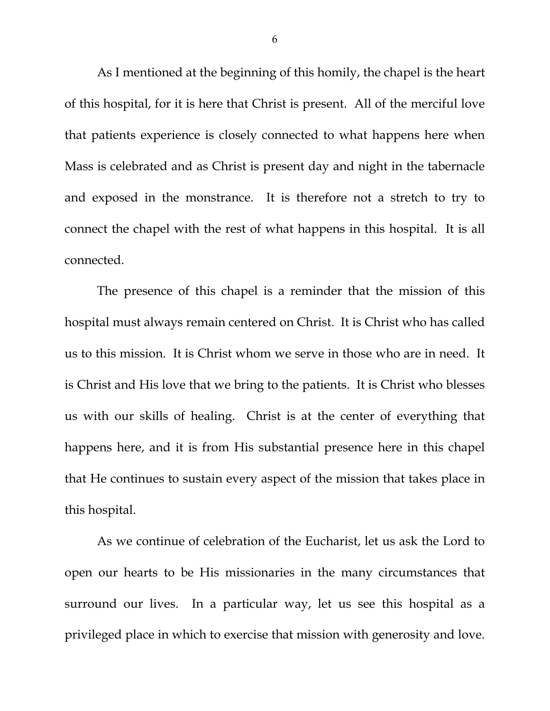As I mentioned at the beginning of this homily, the chapel is the heart of this hospital, for it is here that Christ is present. All of the merciful love that patients experience is closely connected to what happens here when Mass is celebrated and as Christ is present day and night in the tabernacle and exposed in the monstrance. It is therefore not a stretch to try to connect the chapel with the rest of what happens in this hospital. It is all connected.

The presence of this chapel is a reminder that the mission of this hospital must always remain centered on Christ. It is Christ who has called us to this mission. It is Christ whom we serve in those who are in need. It is Christ and His love that we bring to the patients. It is Christ who blesses us with our skills of healing. Christ is at the center of everything that happens here, and it is from His substantial presence here in this chapel that He continues to sustain every aspect of the mission that takes place in this hospital.

As we continue of celebration of the Eucharist, let us ask the Lord to open our hearts to be His missionaries in the many circumstances that surround our lives. In a particular way, let us see this hospital as a privileged place in which to exercise that mission with generosity and love.

6